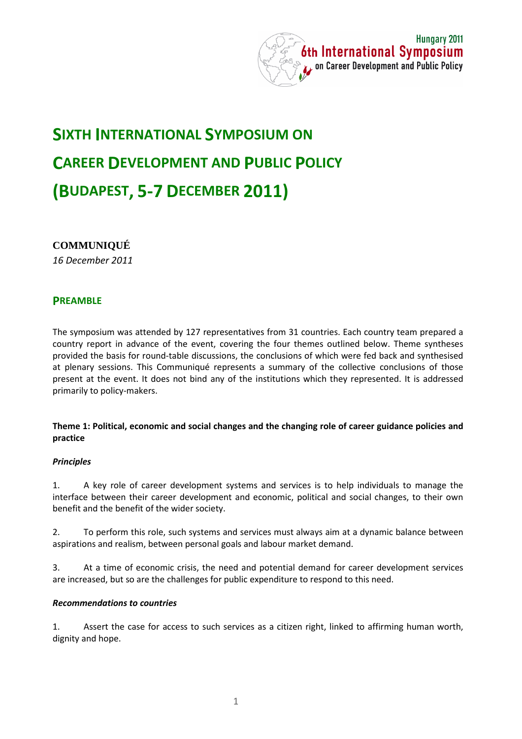

# **SIXTH INTERNATIONAL SYMPOSIUM ON CAREER DEVELOPMENT AND PUBLIC POLICY (BUDAPEST, 5-7 DECEMBER 2011)**

# **COMMUNIQUÉ**

*16 December 2011* 

# **PREAMBLE**

The symposium was attended by 127 representatives from 31 countries. Each country team prepared a country report in advance of the event, covering the four themes outlined below. Theme syntheses provided the basis for round-table discussions, the conclusions of which were fed back and synthesised at plenary sessions. This Communiqué represents a summary of the collective conclusions of those present at the event. It does not bind any of the institutions which they represented. It is addressed primarily to policy-makers.

#### **Theme 1: Political, economic and social changes and the changing role of career guidance policies and practice**

#### *Principles*

1. A key role of career development systems and services is to help individuals to manage the interface between their career development and economic, political and social changes, to their own benefit and the benefit of the wider society.

2. To perform this role, such systems and services must always aim at a dynamic balance between aspirations and realism, between personal goals and labour market demand.

3. At a time of economic crisis, the need and potential demand for career development services are increased, but so are the challenges for public expenditure to respond to this need.

#### *Recommendations to countries*

1. Assert the case for access to such services as a citizen right, linked to affirming human worth, dignity and hope.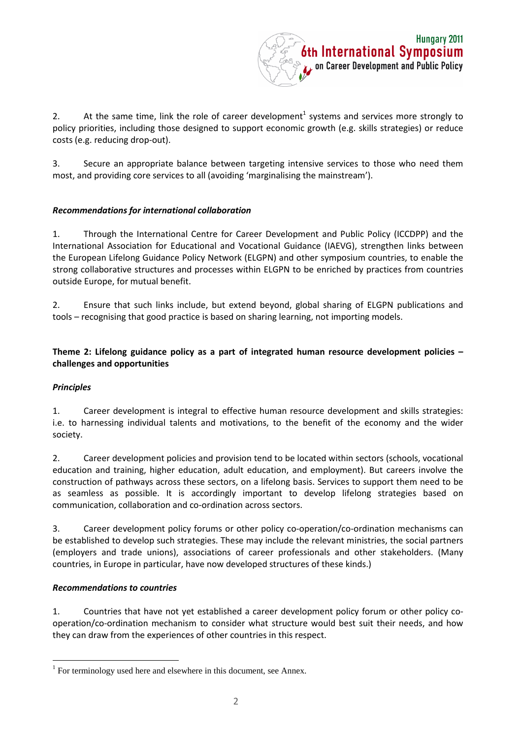

2. At the same time, link the role of career development<sup>1</sup> systems and services more strongly to policy priorities, including those designed to support economic growth (e.g. skills strategies) or reduce costs (e.g. reducing drop-out).

3. Secure an appropriate balance between targeting intensive services to those who need them most, and providing core services to all (avoiding 'marginalising the mainstream').

# *Recommendations for international collaboration*

1. Through the International Centre for Career Development and Public Policy (ICCDPP) and the International Association for Educational and Vocational Guidance (IAEVG), strengthen links between the European Lifelong Guidance Policy Network (ELGPN) and other symposium countries, to enable the strong collaborative structures and processes within ELGPN to be enriched by practices from countries outside Europe, for mutual benefit.

2. Ensure that such links include, but extend beyond, global sharing of ELGPN publications and tools – recognising that good practice is based on sharing learning, not importing models.

# **Theme 2: Lifelong guidance policy as a part of integrated human resource development policies – challenges and opportunities**

# *Principles*

 $\overline{a}$ 

1. Career development is integral to effective human resource development and skills strategies: i.e. to harnessing individual talents and motivations, to the benefit of the economy and the wider society.

2. Career development policies and provision tend to be located within sectors (schools, vocational education and training, higher education, adult education, and employment). But careers involve the construction of pathways across these sectors, on a lifelong basis. Services to support them need to be as seamless as possible. It is accordingly important to develop lifelong strategies based on communication, collaboration and co-ordination across sectors.

3. Career development policy forums or other policy co-operation/co-ordination mechanisms can be established to develop such strategies. These may include the relevant ministries, the social partners (employers and trade unions), associations of career professionals and other stakeholders. (Many countries, in Europe in particular, have now developed structures of these kinds.)

#### *Recommendations to countries*

1. Countries that have not yet established a career development policy forum or other policy cooperation/co-ordination mechanism to consider what structure would best suit their needs, and how they can draw from the experiences of other countries in this respect.

 $1$  For terminology used here and elsewhere in this document, see Annex.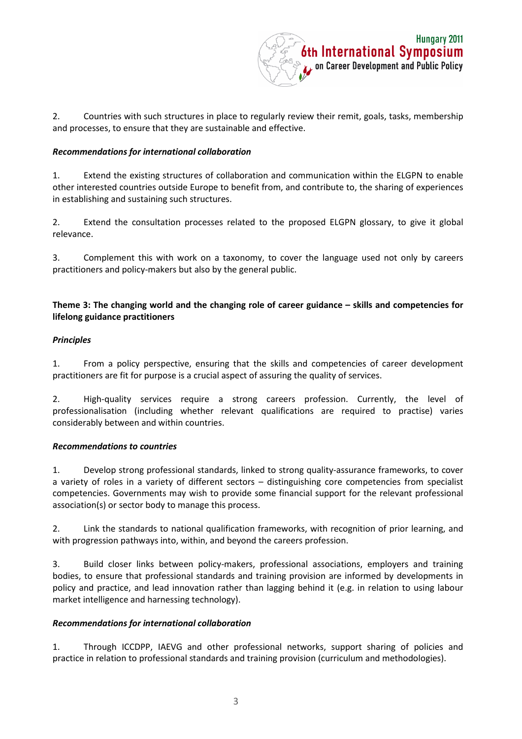

2. Countries with such structures in place to regularly review their remit, goals, tasks, membership and processes, to ensure that they are sustainable and effective.

#### *Recommendations for international collaboration*

1. Extend the existing structures of collaboration and communication within the ELGPN to enable other interested countries outside Europe to benefit from, and contribute to, the sharing of experiences in establishing and sustaining such structures.

2. Extend the consultation processes related to the proposed ELGPN glossary, to give it global relevance.

3. Complement this with work on a taxonomy, to cover the language used not only by careers practitioners and policy-makers but also by the general public.

# **Theme 3: The changing world and the changing role of career guidance – skills and competencies for lifelong guidance practitioners**

#### *Principles*

1. From a policy perspective, ensuring that the skills and competencies of career development practitioners are fit for purpose is a crucial aspect of assuring the quality of services.

2. High-quality services require a strong careers profession. Currently, the level of professionalisation (including whether relevant qualifications are required to practise) varies considerably between and within countries.

#### *Recommendations to countries*

1. Develop strong professional standards, linked to strong quality-assurance frameworks, to cover a variety of roles in a variety of different sectors – distinguishing core competencies from specialist competencies. Governments may wish to provide some financial support for the relevant professional association(s) or sector body to manage this process.

2. Link the standards to national qualification frameworks, with recognition of prior learning, and with progression pathways into, within, and beyond the careers profession.

3. Build closer links between policy-makers, professional associations, employers and training bodies, to ensure that professional standards and training provision are informed by developments in policy and practice, and lead innovation rather than lagging behind it (e.g. in relation to using labour market intelligence and harnessing technology).

# *Recommendations for international collaboration*

1. Through ICCDPP, IAEVG and other professional networks, support sharing of policies and practice in relation to professional standards and training provision (curriculum and methodologies).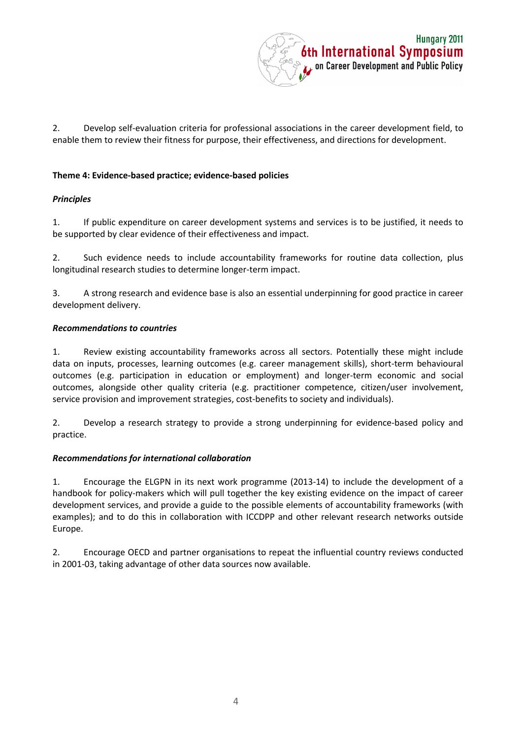

2. Develop self-evaluation criteria for professional associations in the career development field, to enable them to review their fitness for purpose, their effectiveness, and directions for development.

### **Theme 4: Evidence-based practice; evidence-based policies**

#### *Principles*

1. If public expenditure on career development systems and services is to be justified, it needs to be supported by clear evidence of their effectiveness and impact.

2. Such evidence needs to include accountability frameworks for routine data collection, plus longitudinal research studies to determine longer-term impact.

3. A strong research and evidence base is also an essential underpinning for good practice in career development delivery.

#### *Recommendations to countries*

1. Review existing accountability frameworks across all sectors. Potentially these might include data on inputs, processes, learning outcomes (e.g. career management skills), short-term behavioural outcomes (e.g. participation in education or employment) and longer-term economic and social outcomes, alongside other quality criteria (e.g. practitioner competence, citizen/user involvement, service provision and improvement strategies, cost-benefits to society and individuals).

2. Develop a research strategy to provide a strong underpinning for evidence-based policy and practice.

#### *Recommendations for international collaboration*

1. Encourage the ELGPN in its next work programme (2013-14) to include the development of a handbook for policy-makers which will pull together the key existing evidence on the impact of career development services, and provide a guide to the possible elements of accountability frameworks (with examples); and to do this in collaboration with ICCDPP and other relevant research networks outside Europe.

2. Encourage OECD and partner organisations to repeat the influential country reviews conducted in 2001-03, taking advantage of other data sources now available.